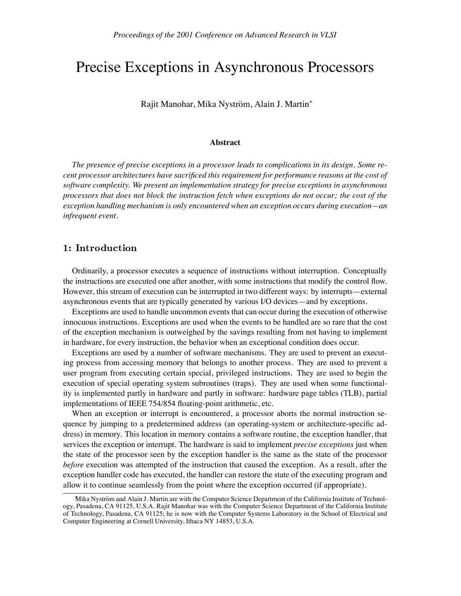# Precise Exceptions in Asynchronous Processors

Rajit Manohar, Mika Nyström, Alain J. Martin\*

#### **Abstract**

*The presence of precise exceptions in a processor leads to complications in its design. Some recent processor architectures have sacrificed this requirement for performance reasons at the cost of software complexity. We present an implementation strategy for precise exceptions in asynchronous processors that does not block the instruction fetch when exceptions do not occur; the cost of the exception handling mechanism is only encountered when an exception occurs during execution—an infrequent event.*

# -

Ordinarily, a processor executes a sequence of instructions without interruption. Conceptually the instructions are executed one after another, with some instructions that modify the control flow. However, this stream of execution can be interrupted in two different ways: by interrupts—external asynchronous events that are typically generated by various I/O devices—and by exceptions.

Exceptions are used to handle uncommon events that can occur during the execution of otherwise innocuous instructions. Exceptions are used when the events to be handled are so rare that the cost of the exception mechanism is outweighed by the savings resulting from not having to implement in hardware, for every instruction, the behavior when an exceptional condition does occur.

Exceptions are used by a number of software mechanisms. They are used to prevent an executing process from accessing memory that belongs to another process. They are used to prevent a user program from executing certain special, privileged instructions. They are used to begin the execution of special operating system subroutines (traps). They are used when some functionality is implemented partly in hardware and partly in software: hardware page tables (TLB), partial implementations of IEEE 754/854 floating-point arithmetic, etc.

When an exception or interrupt is encountered, a processor aborts the normal instruction sequence by jumping to a predetermined address (an operating-system or architecture-specific address) in memory. This location in memory contains a software routine, the exception handler, that services the exception or interrupt. The hardware is said to implement *precise exceptions* just when the state of the processor seen by the exception handler is the same as the state of the processor *before* execution was attempted of the instruction that caused the exception. As a result, after the exception handler code has executed, the handler can restore the state of the executing program and allow it to continue seamlessly from the point where the exception occurred (if appropriate).

Mika Nyström and Alain J. Martin are with the Computer Science Department of the California Institute of Technology, Pasadena, CA 91125, U.S.A. Rajit Manohar was with the Computer Science Department of the California Institute of Technology, Pasadena, CA 91125; he is now with the Computer Systems Laboratory in the School of Electrical and Computer Engineering at Cornell University, Ithaca NY 14853, U.S.A.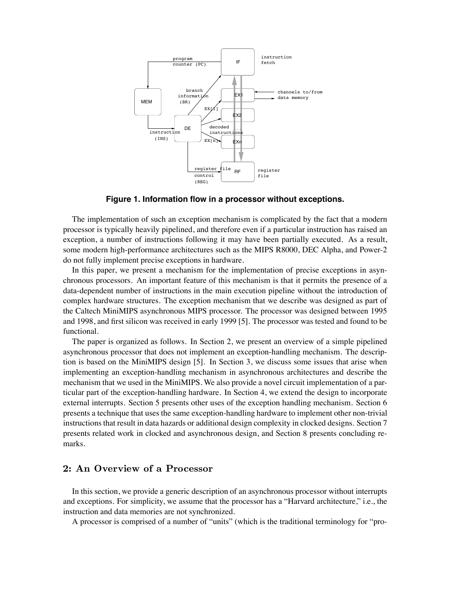

**Figure 1. Information flow in a processor without exceptions.**

The implementation of such an exception mechanism is complicated by the fact that a modern processor is typically heavily pipelined, and therefore even if a particular instruction has raised an exception, a number of instructions following it may have been partially executed. As a result, some modern high-performance architectures such as the MIPS R8000, DEC Alpha, and Power-2 do not fully implement precise exceptions in hardware.

In this paper, we present a mechanism for the implementation of precise exceptions in asynchronous processors. An important feature of this mechanism is that it permits the presence of a data-dependent number of instructions in the main execution pipeline without the introduction of complex hardware structures. The exception mechanism that we describe was designed as part of the Caltech MiniMIPS asynchronous MIPS processor. The processor was designed between 1995 and 1998, and first silicon was received in early 1999 [5]. The processor was tested and found to be functional.

The paper is organized as follows. In Section 2, we present an overview of a simple pipelined asynchronous processor that does not implement an exception-handling mechanism. The description is based on the MiniMIPS design [5]. In Section 3, we discuss some issues that arise when implementing an exception-handling mechanism in asynchronous architectures and describe the mechanism that we used in the MiniMIPS. We also provide a novel circuit implementation of a particular part of the exception-handling hardware. In Section 4, we extend the design to incorporate external interrupts. Section 5 presents other uses of the exception handling mechanism. Section 6 presents a technique that uses the same exception-handling hardware to implement other non-trivial instructions that result in data hazards or additional design complexity in clocked designs. Section 7 presents related work in clocked and asynchronous design, and Section 8 presents concluding remarks.

In this section, we provide a generic description of an asynchronous processor without interrupts and exceptions. For simplicity, we assume that the processor has a "Harvard architecture," i.e., the instruction and data memories are not synchronized.

A processor is comprised of a number of "units" (which is the traditional terminology for "pro-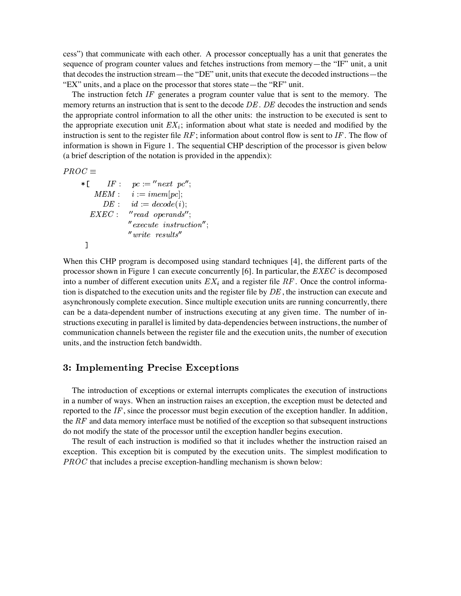cess") that communicate with each other. A processor conceptually has a unit that generates the sequence of program counter values and fetches instructions from memory—the "IF" unit, a unit that decodes the instruction stream—the "DE" unit, units that execute the decoded instructions—the "EX" units, and a place on the processor that stores state—the "RF" unit.

The instruction fetch  $IF$  generates a program counter value that is sent to the memory. The memory returns an instruction that is sent to the decode  $DE$ .  $DE$  decodes the instruction and sends the appropriate control information to all the other units: the instruction to be executed is sent to the appropriate execution unit  $EX_i$ ; information about what state is needed and modified by the instruction is sent to the register file  $RF$ ; information about control flow is sent to IF. The flow of information is shown in Figure 1. The sequential CHP description of the processor is given below (a brief description of the notation is provided in the appendix):

 $PROC \equiv$ 

| $*$ [ IF: $pc := "next~ pc";$ |
|-------------------------------|
| $MEM: i := imem[pc];$         |
| $DE: \quad id := decode(i);$  |
| $EXEC:$ "read operands";      |
| $"execute$ instruction";      |
| $"write$ results"             |
|                               |

the contract of the contract of the contract of the contract of the contract of the contract of the contract of

When this CHP program is decomposed using standard techniques [4], the different parts of the processor shown in Figure 1 can execute concurrently  $[6]$ . In particular, the  $EXEC$  is decomposed into a number of different execution units  $EX_i$  and a register file RF. Once the control information is dispatched to the execution units and the register file by  $DE$ , the instruction can execute and asynchronously complete execution. Since multiple execution units are running concurrently, there can be a data-dependent number of instructions executing at any given time. The number of instructions executing in parallel is limited by data-dependencies between instructions, the number of communication channels between the register file and the execution units, the number of execution units, and the instruction fetch bandwidth.

# -

The introduction of exceptions or external interrupts complicates the execution of instructions in a number of ways. When an instruction raises an exception, the exception must be detected and reported to the  $IF$ , since the processor must begin execution of the exception handler. In addition, the  $RF$  and data memory interface must be notified of the exception so that subsequent instructions do not modify the state of the processor until the exception handler begins execution.

The result of each instruction is modified so that it includes whether the instruction raised an exception. This exception bit is computed by the execution units. The simplest modification to  $PROC$  that includes a precise exception-handling mechanism is shown below: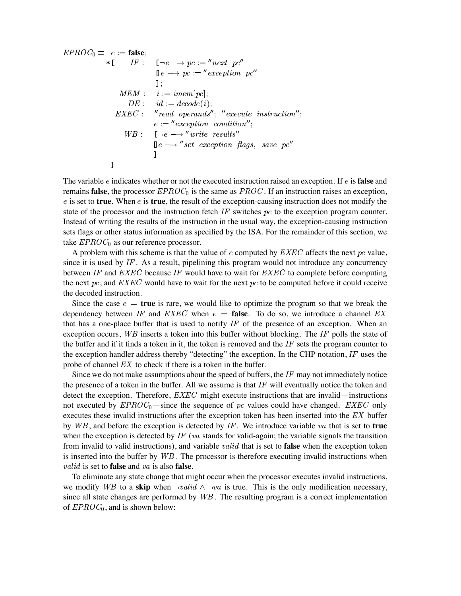$$
EPROC_0 \equiv e := \text{false};
$$
\n
$$
* [ \quad IF : \quad [\neg e \longrightarrow pc := "next pc" \quad ]];
$$
\n
$$
MEM : \quad i := imemp[c];
$$
\n
$$
DE : \quad id := decode(i);
$$
\n
$$
EXEC : \quad "read operands"; "execute instruction"; \quad e := "exception condition";
$$
\n
$$
WB : \quad [\neg e \longrightarrow "write results" \quad ]e \longrightarrow "set exception flags, save pc"
$$
\n
$$
]
$$

The variable e indicates whether or not the executed instruction raised an exception. If e is **false** and remains **false**, the processor  $EPROC<sub>0</sub>$  is the same as  $PROC$ . If an instruction raises an exception,  $e$  is set to **true**. When  $e$  is **true**, the result of the exception-causing instruction does not modify the state of the processor and the instruction fetch IF switches  $pc$  to the exception program counter. Instead of writing the results of the instruction in the usual way, the exception-causing instruction sets flags or other status information as specified by the ISA. For the remainder of this section, we take  $EPROC<sub>0</sub>$  as our reference processor.

A problem with this scheme is that the value of e computed by  $EXEC$  affects the next  $pc$  value, since it is used by  $IF$ . As a result, pipelining this program would not introduce any concurrency between IF and  $EXEC$  because IF would have to wait for  $EXEC$  to complete before computing the next pc, and  $EXEC$  would have to wait for the next pc to be computed before it could receive the decoded instruction.

Since the case  $e = \text{true}$  is rare, we would like to optimize the program so that we break the dependency between IF and  $EXEC$  when  $e =$  **false**. To do so, we introduce a channel  $EX$ that has a one-place buffer that is used to notify  $IF$  of the presence of an exception. When an exception occurs,  $W B$  inserts a token into this buffer without blocking. The IF polls the state of the buffer and if it finds a token in it, the token is removed and the  $IF$  sets the program counter to the exception handler address thereby "detecting" the exception. In the CHP notation,  $IF$  uses the probe of channel  $EX$  to check if there is a token in the buffer.

Since we do not make assumptions about the speed of buffers, the  $IF$  may not immediately notice the presence of a token in the buffer. All we assume is that  $IF$  will eventually notice the token and detect the exception. Therefore,  $EXEC$  might execute instructions that are invalid—instructions not executed by  $EPROC_0$ —since the sequence of pc values could have changed.  $EXEC$  only executes these invalid instructions after the exception token has been inserted into the  $EX$  buffer by WB, and before the exception is detected by IF. We introduce variable va that is set to **true** when the exception is detected by IF (va stands for valid-again; the variable signals the transition from invalid to valid instructions), and variable *valid* that is set to **false** when the exception token is inserted into the buffer by  $W\ddot{B}$ . The processor is therefore executing invalid instructions when  $valid$  is set to **false** and  $va$  is also **false**.

To eliminate any state change that might occur when the processor executes invalid instructions, we modify WB to a skip when  $\neg valid \wedge \neg va$  is true. This is the only modification necessary, since all state changes are performed by  $W\ddot{B}$ . The resulting program is a correct implementation of  $EPROC<sub>0</sub>$ , and is shown below: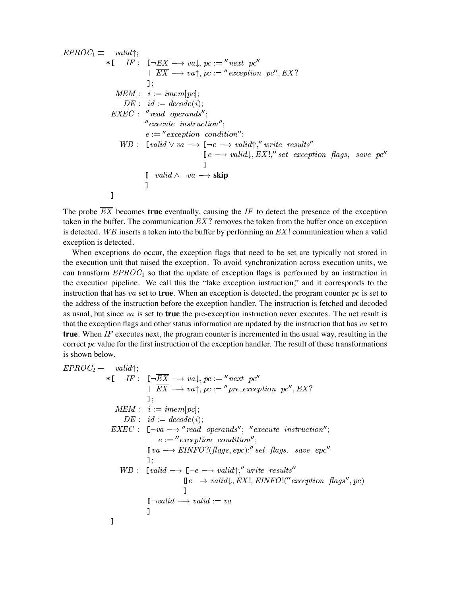$$
EPROC_1 \equiv \text{valid}^{\ast};
$$
\n
$$
*[IF: [-\overline{EX} \longrightarrow va_{+}, pc := "next pc" \quad 1 \overline{EX} \longrightarrow va_{+}, pc := "exception pc", EX ?]
$$
\n1;\n
$$
MEM: i := imemp[c];
$$
\n
$$
DE: id := decode(i);
$$
\n
$$
EXEC: "read operands";
$$
\n
$$
"execute instruction";
$$
\n
$$
e := "exception condition";
$$
\n
$$
WB: [valid \lor va \longrightarrow [-e \longrightarrow valid], "write results"
$$
\n
$$
[le \longrightarrow valid], EX!, "set exception flags, save pc"
$$
\n
$$
1
$$
\n1

The probe  $EX$  becomes **true** eventually, causing the  $IF$  to detect the presence of the exception token in the buffer. The communication  $EX$ ? removes the token from the buffer once an exception is detected. WB inserts a token into the buffer by performing an  $EX!$  communication when a valid exception is detected.

When exceptions do occur, the exception flags that need to be set are typically not stored in the execution unit that raised the exception. To avoid synchronization across execution units, we can transform  $EPROC<sub>1</sub>$  so that the update of exception flags is performed by an instruction in the execution pipeline. We call this the "fake exception instruction," and it corresponds to the instruction that has  $va$  set to **true**. When an exception is detected, the program counter  $pc$  is set to the address of the instruction before the exception handler. The instruction is fetched and decoded as usual, but since va is set to **true** the pre-exception instruction never executes. The net result is that the exception flags and other status information are updated by the instruction that has  $va$  set to **true**. When IF executes next, the program counter is incremented in the usual way, resulting in the correct  $pc$  value for the first instruction of the exception handler. The result of these transformations is shown below.

$$
EPROC_2 \equiv \text{valid}^{\star};
$$
\n
$$
*[IF: [-\overline{EX} \longrightarrow va_+, pc := "next pc"
$$
\n
$$
1 [\overline{EX} \longrightarrow va_+, pc := "pre\_exception pc", EX?
$$
\n
$$
1;
$$
\n
$$
MEM: i := imemp[c];
$$
\n
$$
DE: id := decode(i);
$$
\n
$$
EXEC: [-va \longrightarrow "read operands", "execute instruction";
$$
\n
$$
e := "exception condition";
$$
\n
$$
[Iva \longrightarrow EINFO?(flags, epc); "set flags, save epc"
$$
\n
$$
1;
$$
\n
$$
WB: [valid \longrightarrow [-e \longrightarrow valid], "Write results"
$$
\n
$$
Ie \longrightarrow valid, EX!, EINFO!("exception flags", pc)
$$
\n
$$
1
$$
\n
$$
1
$$
\n
$$
1
$$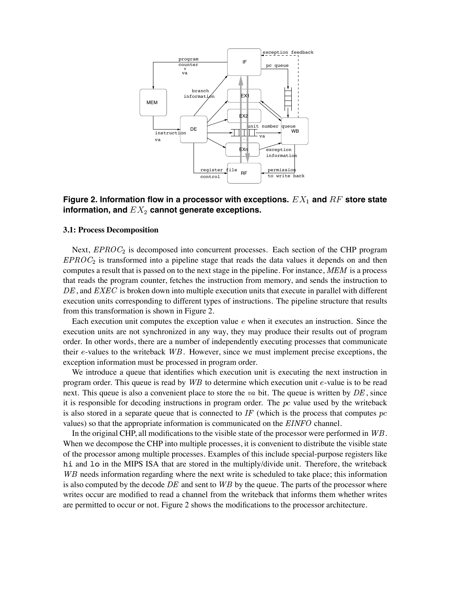

# Figure 2. Information flow in a processor with exceptions.  $EX_1$  and  $RF$  store state information, and  $EX_2$  cannot generate exceptions.

#### **3.1: Process Decomposition**

Next,  $EPROC<sub>2</sub>$  is decomposed into concurrent processes. Each section of the CHP program  $EPROC<sub>2</sub>$  is transformed into a pipeline stage that reads the data values it depends on and then computes a result that is passed on to the next stage in the pipeline. For instance,  $MEM$  is a process that reads the program counter, fetches the instruction from memory, and sends the instruction to  $DE$ , and  $EXEC$  is broken down into multiple execution units that execute in parallel with different execution units corresponding to different types of instructions. The pipeline structure that results from this transformation is shown in Figure 2.

Each execution unit computes the exception value  $e$  when it executes an instruction. Since the execution units are not synchronized in any way, they may produce their results out of program order. In other words, there are a number of independently executing processes that communicate their  $e$ -values to the writeback  $W$ B. However, since we must implement precise exceptions, the exception information must be processed in program order.

We introduce a queue that identifies which execution unit is executing the next instruction in program order. This queue is read by  $WB$  to determine which execution unit  $e$ -value is to be read next. This queue is also a convenient place to store the  $va$  bit. The queue is written by  $DE$ , since it is responsible for decoding instructions in program order. The  $pc$  value used by the writeback is also stored in a separate queue that is connected to  $IF$  (which is the process that computes  $p$ values) so that the appropriate information is communicated on the  $EINFO$  channel.

In the original CHP, all modifications to the visible state of the processor were performed in  $W\ddot{B}$ . When we decompose the CHP into multiple processes, it is convenient to distribute the visible state of the processor among multiple processes. Examples of this include special-purpose registers like hi and lo in the MIPS ISA that are stored in the multiply/divide unit. Therefore, the writeback WB needs information regarding where the next write is scheduled to take place; this information is also computed by the decode  $DE$  and sent to  $WB$  by the queue. The parts of the processor where writes occur are modified to read a channel from the writeback that informs them whether writes are permitted to occur or not. Figure 2 shows the modifications to the processor architecture.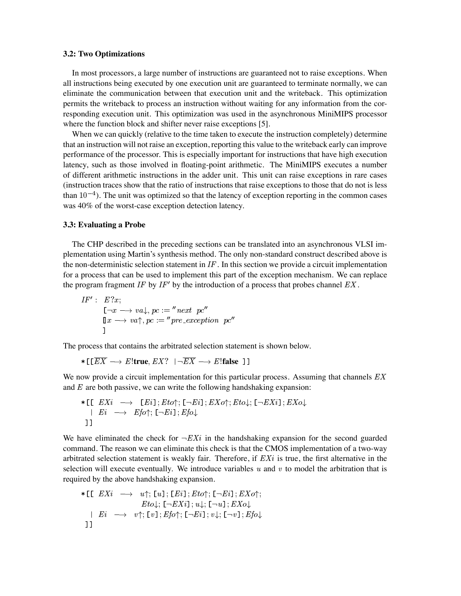### **3.2: Two Optimizations**

In most processors, a large number of instructions are guaranteed not to raise exceptions. When all instructions being executed by one execution unit are guaranteed to terminate normally, we can eliminate the communication between that execution unit and the writeback. This optimization permits the writeback to process an instruction without waiting for any information from the corresponding execution unit. This optimization was used in the asynchronous MiniMIPS processor where the function block and shifter never raise exceptions [5].

When we can quickly (relative to the time taken to execute the instruction completely) determine that an instruction will not raise an exception, reporting this value to the writeback early can improve performance of the processor. This is especially important for instructions that have high execution latency, such as those involved in floating-point arithmetic. The MiniMIPS executes a number of different arithmetic instructions in the adder unit. This unit can raise exceptions in rare cases (instruction traces show that the ratio of instructions that raise exceptions to those that do not is less than  $10^{-4}$ ). The unit was optimized so that the latency of exception reporting in the common cases was 40% of the worst-case exception detection latency.

#### **3.3: Evaluating a Probe**

The CHP described in the preceding sections can be translated into an asynchronous VLSI implementation using Martin's synthesis method. The only non-standard construct described above is the non-deterministic selection statement in  $IF$ . In this section we provide a circuit implementation for a process that can be used to implement this part of the exception mechanism. We can replace the program fragment IF by IF' by the introduction of a process that probes channel  $EX$ .

$$
\begin{array}{rl} IF':&E?x;\\ &\mathfrak{l}\neg x\longrightarrow va\mathfrak{t},pc:=\ ^{\prime\prime}next\ \ p c''\\ &\mathfrak{l}x\longrightarrow va\mathfrak{t},pc:=\ ^{\prime\prime}pre\_exception\ \ pc''\\ &\mathfrak{1}\end{array}
$$

The process that contains the arbitrated selection statement is shown below.

$$
*[\ [\overline{EX} \longrightarrow E] \text{true}, EX? \ \ |\neg \overline{EX} \longrightarrow E] \text{false} \ ]]
$$

We now provide a circuit implementation for this particular process. Assuming that channels  $EX$ and  $E$  are both passive, we can write the following handshaking expansion:

$$
*[\text{I}\ \ EXi \rightarrow \text{I}\ \ EU] ; Eto \uparrow; [\neg Ei]; EXo \uparrow; Eto \downarrow; [\neg EXi]; EXo \downarrow
$$
  
\n
$$
+ [Ei \ \longrightarrow \ Efo \uparrow; [\neg Ei]; Efo \downarrow
$$
  
\n
$$
]]
$$

We have eliminated the check for  $\neg EXi$  in the handshaking expansion for the second guarded command. The reason we can eliminate this check is that the CMOS implementation of a two-way arbitrated selection statement is weakly fair. Therefore, if  $EXi$  is true, the first alternative in the selection will execute eventually. We introduce variables  $u$  and  $v$  to model the arbitration that is required by the above handshaking expansion.

$$
\begin{array}{lcl}\ast\; & E[Xi & \longrightarrow & u\!\!\uparrow\!;~ [u1] \,;~ [Ei] \,; Eto\!\!\uparrow\!;~ [-Ei] \,;~ EXo\!\!\uparrow\!;\\ & & Eto\!\!\downarrow\!;~ [-EXi] \,;~ u\!\!\downarrow\!;~ [-u1] \,; EXo\!\!\downarrow\\ & & | ~ Ei & \longrightarrow & v\!\!\uparrow\!;~ [v1] \,; Efo\!\!\uparrow\!;~ [-Ei] \,; v\!\!\downarrow\!;~ [-v1] \,; Efo\!\!\downarrow\\ & & | ~ & | ~ & | & | & | \end{array}
$$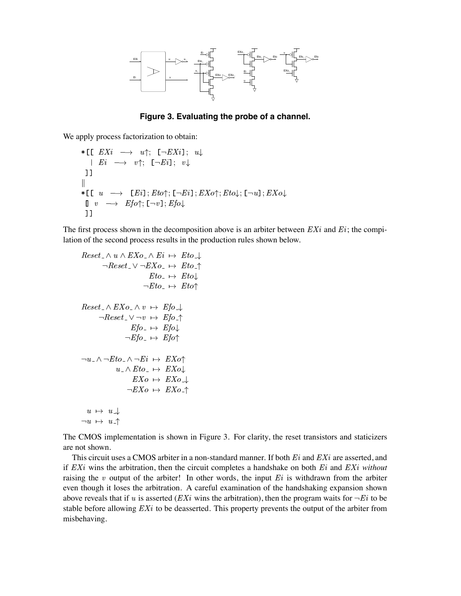

**Figure 3. Evaluating the probe of a channel.**

We apply process factorization to obtain:

$$
\star \begin{array}{cccccc} \star & \vdash & EXi & \longrightarrow & u \uparrow; & \vdash -EXi \, \text{I}; & u \downarrow \\ & & \vdash & Ei & \longrightarrow & v \uparrow; & \vdash -Ei \, \text{I}; & v \downarrow \\ & & \downarrow & & \downarrow & & \downarrow \\ & & \star & \vdash & \vdash & u & \longrightarrow & [Ei] \, ; \, Eto \uparrow; \, \text{I} \neg Ei \, \text{I}; \, EXo \uparrow; Eto \downarrow; \, \text{I} \neg u \, \text{I}; \, EXo \downarrow \\ & & \parallel & v & \longrightarrow & Efo \uparrow; \, \text{I} \neg v \, \text{I}; \, Efo \downarrow \\ & & \parallel & & \downarrow & & \end{array}
$$

The first process shown in the decomposition above is an arbiter between  $EXi$  and  $Ei$ ; the compilation of the second process results in the production rules shown below.

 - - en de la componentación de la componentación de la componentación de la componentación de la componentación de ! en de la completa de la completa de la completa de la completa de la completa de la completa de la completa de ! ! -! ! - - - - 

-

The CMOS implementation is shown in Figure 3. For clarity, the reset transistors and staticizers are not shown.

This circuit uses a CMOS arbiter in a non-standard manner. If both  $E_i$  and  $EX_i$  are asserted, and if  $EXi$  wins the arbitration, then the circuit completes a handshake on both  $E_i$  and  $EXi$  without raising the  $v$  output of the arbiter! In other words, the input  $E_i$  is withdrawn from the arbiter even though it loses the arbitration. A careful examination of the handshaking expansion shown above reveals that if u is asserted (*EXi* wins the arbitration), then the program waits for  $\neg E i$  to be stable before allowing  $EXi$  to be deasserted. This property prevents the output of the arbiter from misbehaving.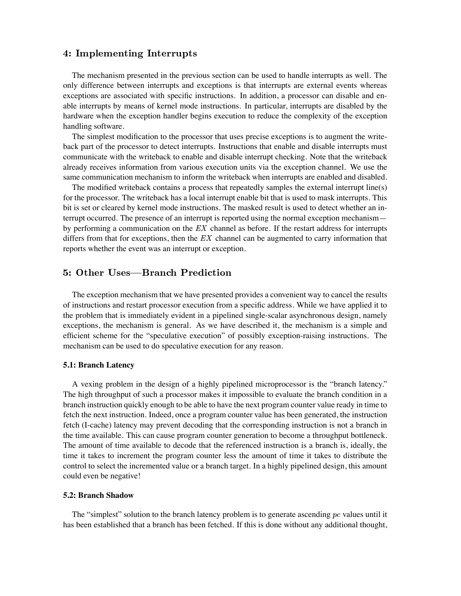# en en de la companya de la companya de la companya de la companya de la companya de la companya de la companya

The mechanism presented in the previous section can be used to handle interrupts as well. The only difference between interrupts and exceptions is that interrupts are external events whereas exceptions are associated with specific instructions. In addition, a processor can disable and enable interrupts by means of kernel mode instructions. In particular, interrupts are disabled by the hardware when the exception handler begins execution to reduce the complexity of the exception handling software.

The simplest modification to the processor that uses precise exceptions is to augment the writeback part of the processor to detect interrupts. Instructions that enable and disable interrupts must communicate with the writeback to enable and disable interrupt checking. Note that the writeback already receives information from various execution units via the exception channel. We use the same communication mechanism to inform the writeback when interrupts are enabled and disabled.

The modified writeback contains a process that repeatedly samples the external interrupt line(s) for the processor. The writeback has a local interrupt enable bit that is used to mask interrupts. This bit is set or cleared by kernel mode instructions. The masked result is used to detect whether an interrupt occurred. The presence of an interrupt is reported using the normal exception mechanism by performing a communication on the  $EX$  channel as before. If the restart address for interrupts differs from that for exceptions, then the  $EX$  channel can be augmented to carry information that reports whether the event was an interrupt or exception.

# 5: Other Uses—Branch Prediction

The exception mechanism that we have presented provides a convenient way to cancel the results of instructions and restart processor execution from a specific address. While we have applied it to the problem that is immediately evident in a pipelined single-scalar asynchronous design, namely exceptions, the mechanism is general. As we have described it, the mechanism is a simple and efficient scheme for the "speculative execution" of possibly exception-raising instructions. The mechanism can be used to do speculative execution for any reason.

#### **5.1: Branch Latency**

A vexing problem in the design of a highly pipelined microprocessor is the "branch latency." The high throughput of such a processor makes it impossible to evaluate the branch condition in a branch instruction quickly enough to be able to have the next program counter value ready in time to fetch the next instruction. Indeed, once a program counter value has been generated, the instruction fetch (I-cache) latency may prevent decoding that the corresponding instruction is not a branch in the time available. This can cause program counter generation to become a throughput bottleneck. The amount of time available to decode that the referenced instruction is a branch is, ideally, the time it takes to increment the program counter less the amount of time it takes to distribute the control to select the incremented value or a branch target. In a highly pipelined design, this amount could even be negative!

### **5.2: Branch Shadow**

The "simplest" solution to the branch latency problem is to generate ascending  $pc$  values until it has been established that a branch has been fetched. If this is done without any additional thought,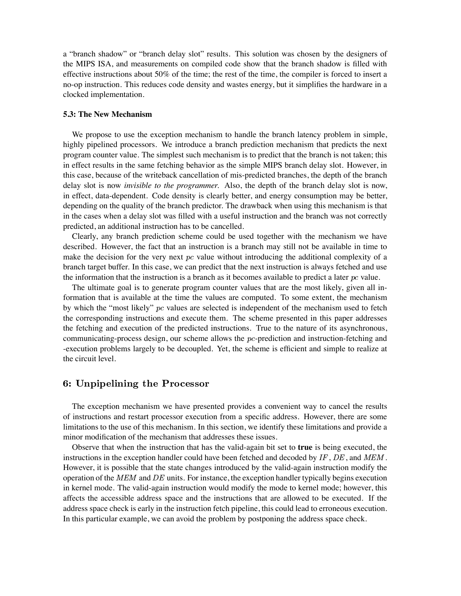a "branch shadow" or "branch delay slot" results. This solution was chosen by the designers of the MIPS ISA, and measurements on compiled code show that the branch shadow is filled with effective instructions about 50% of the time; the rest of the time, the compiler is forced to insert a no-op instruction. This reduces code density and wastes energy, but it simplifies the hardware in a clocked implementation.

#### **5.3: The New Mechanism**

We propose to use the exception mechanism to handle the branch latency problem in simple, highly pipelined processors. We introduce a branch prediction mechanism that predicts the next program counter value. The simplest such mechanism is to predict that the branch is not taken; this in effect results in the same fetching behavior as the simple MIPS branch delay slot. However, in this case, because of the writeback cancellation of mis-predicted branches, the depth of the branch delay slot is now *invisible to the programmer.* Also, the depth of the branch delay slot is now, in effect, data-dependent. Code density is clearly better, and energy consumption may be better, depending on the quality of the branch predictor. The drawback when using this mechanism is that in the cases when a delay slot was filled with a useful instruction and the branch was not correctly predicted, an additional instruction has to be cancelled.

Clearly, any branch prediction scheme could be used together with the mechanism we have described. However, the fact that an instruction is a branch may still not be available in time to make the decision for the very next  $pc$  value without introducing the additional complexity of a branch target buffer. In this case, we can predict that the next instruction is always fetched and use the information that the instruction is a branch as it becomes available to predict a later  $pc$  value.

The ultimate goal is to generate program counter values that are the most likely, given all information that is available at the time the values are computed. To some extent, the mechanism by which the "most likely"  $pc$  values are selected is independent of the mechanism used to fetch the corresponding instructions and execute them. The scheme presented in this paper addresses the fetching and execution of the predicted instructions. True to the nature of its asynchronous, communicating-process design, our scheme allows the  $pc$ -prediction and instruction-fetching and -execution problems largely to be decoupled. Yet, the scheme is efficient and simple to realize at the circuit level.

# . A second contract the contract of the contract of the contract of the contract of the contract of the contract of the contract of the contract of the contract of the contract of the contract of the contract of the contra

The exception mechanism we have presented provides a convenient way to cancel the results of instructions and restart processor execution from a specific address. However, there are some limitations to the use of this mechanism. In this section, we identify these limitations and provide a minor modification of the mechanism that addresses these issues.

Observe that when the instruction that has the valid-again bit set to **true** is being executed, the instructions in the exception handler could have been fetched and decoded by  $IF$ ,  $DE$ , and  $MEM$ . However, it is possible that the state changes introduced by the valid-again instruction modify the operation of the  $MEM$  and  $DE$  units. For instance, the exception handler typically begins execution in kernel mode. The valid-again instruction would modify the mode to kernel mode; however, this affects the accessible address space and the instructions that are allowed to be executed. If the address space check is early in the instruction fetch pipeline, this could lead to erroneous execution. In this particular example, we can avoid the problem by postponing the address space check.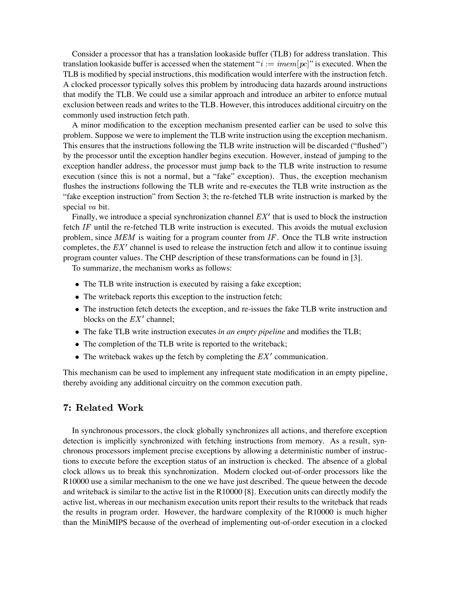Consider a processor that has a translation lookaside buffer (TLB) for address translation. This translation lookaside buffer is accessed when the statement " $i := \mathit{imem}[pc]$ " is executed. When the TLB is modified by special instructions, this modification would interfere with the instruction fetch. A clocked processor typically solves this problem by introducing data hazards around instructions that modify the TLB. We could use a similar approach and introduce an arbiter to enforce mutual exclusion between reads and writes to the TLB. However, this introduces additional circuitry on the commonly used instruction fetch path.

A minor modification to the exception mechanism presented earlier can be used to solve this problem. Suppose we were to implement the TLB write instruction using the exception mechanism. This ensures that the instructions following the TLB write instruction will be discarded ("flushed") by the processor until the exception handler begins execution. However, instead of jumping to the exception handler address, the processor must jump back to the TLB write instruction to resume execution (since this is not a normal, but a "fake" exception). Thus, the exception mechanism flushes the instructions following the TLB write and re-executes the TLB write instruction as the "fake exception instruction" from Section 3; the re-fetched TLB write instruction is marked by the special va bit.

Finally, we introduce a special synchronization channel  $\mathit{EX}'$  that is used to block the instruction fetch  $IF$  until the re-fetched TLB write instruction is executed. This avoids the mutual exclusion problem, since  $MEM$  is waiting for a program counter from  $IF$ . Once the TLB write instruction completes, the  $EX'$  channel is used to release the instruction fetch and allow it to continue issuing program counter values. The CHP description of these transformations can be found in [3].

To summarize, the mechanism works as follows:

- The TLB write instruction is executed by raising a fake exception;
- The writeback reports this exception to the instruction fetch;
- The instruction fetch detects the exception, and re-issues the fake TLB write instruction and blocks on the  $EX'$  channel;
- The fake TLB write instruction executes *in an empty pipeline* and modifies the TLB;
- The completion of the TLB write is reported to the writeback;
- The writeback wakes up the fetch by completing the  $EX'$  communication.

This mechanism can be used to implement any infrequent state modification in an empty pipeline, thereby avoiding any additional circuitry on the common execution path.

# 7: Related Work **Exercise 2**

In synchronous processors, the clock globally synchronizes all actions, and therefore exception detection is implicitly synchronized with fetching instructions from memory. As a result, synchronous processors implement precise exceptions by allowing a deterministic number of instructions to execute before the exception status of an instruction is checked. The absence of a global clock allows us to break this synchronization. Modern clocked out-of-order processors like the R10000 use a similar mechanism to the one we have just described. The queue between the decode and writeback is similar to the active list in the R10000 [8]. Execution units can directly modify the active list, whereas in our mechanism execution units report their results to the writeback that reads the results in program order. However, the hardware complexity of the R10000 is much higher than the MiniMIPS because of the overhead of implementing out-of-order execution in a clocked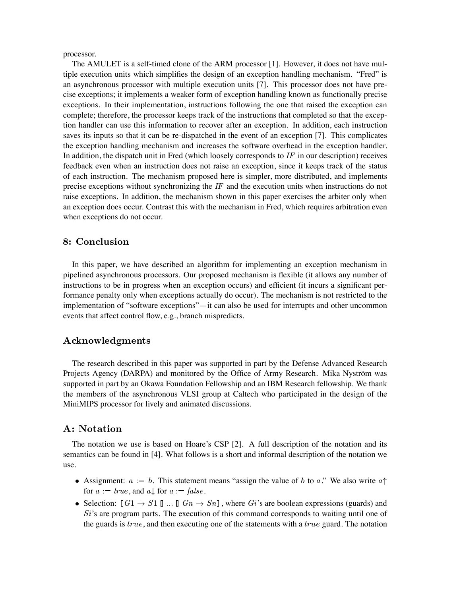processor.

The AMULET is a self-timed clone of the ARM processor [1]. However, it does not have multiple execution units which simplifies the design of an exception handling mechanism. "Fred" is an asynchronous processor with multiple execution units [7]. This processor does not have precise exceptions; it implements a weaker form of exception handling known as functionally precise exceptions. In their implementation, instructions following the one that raised the exception can complete; therefore, the processor keeps track of the instructions that completed so that the exception handler can use this information to recover after an exception. In addition, each instruction saves its inputs so that it can be re-dispatched in the event of an exception [7]. This complicates the exception handling mechanism and increases the software overhead in the exception handler. In addition, the dispatch unit in Fred (which loosely corresponds to  $IF$  in our description) receives feedback even when an instruction does not raise an exception, since it keeps track of the status of each instruction. The mechanism proposed here is simpler, more distributed, and implements precise exceptions without synchronizing the  $IF$  and the execution units when instructions do not raise exceptions. In addition, the mechanism shown in this paper exercises the arbiter only when an exception does occur. Contrast this with the mechanism in Fred, which requires arbitration even when exceptions do not occur.

# 8: Conclusion

In this paper, we have described an algorithm for implementing an exception mechanism in pipelined asynchronous processors. Our proposed mechanism is flexible (it allows any number of instructions to be in progress when an exception occurs) and efficient (it incurs a significant performance penalty only when exceptions actually do occur). The mechanism is not restricted to the implementation of "software exceptions"—it can also be used for interrupts and other uncommon events that affect control flow, e.g., branch mispredicts.

# ${\bf Acknowledgments}$

The research described in this paper was supported in part by the Defense Advanced Research Projects Agency (DARPA) and monitored by the Office of Army Research. Mika Nyström was supported in part by an Okawa Foundation Fellowship and an IBM Research fellowship. We thank the members of the asynchronous VLSI group at Caltech who participated in the design of the MiniMIPS processor for lively and animated discussions.

## A: Notation

The notation we use is based on Hoare's CSP [2]. A full description of the notation and its semantics can be found in [4]. What follows is a short and informal description of the notation we use.

- Assignment:  $a := b$ . This statement means "assign the value of b to a." We also write  $a \uparrow$ for  $a := true$ , and  $a \downarrow$  for  $a := false$ .
- Selection:  $[G1 \rightarrow S1 \, \mathbb{I} \, \dots \, \mathbb{I} \, Gn \rightarrow Sn]$ , where  $Gi$ 's are boolean expressions (guards) and  $Si$ 's are program parts. The execution of this command corresponds to waiting until one of the guards is  $true$ , and then executing one of the statements with a  $true$  guard. The notation